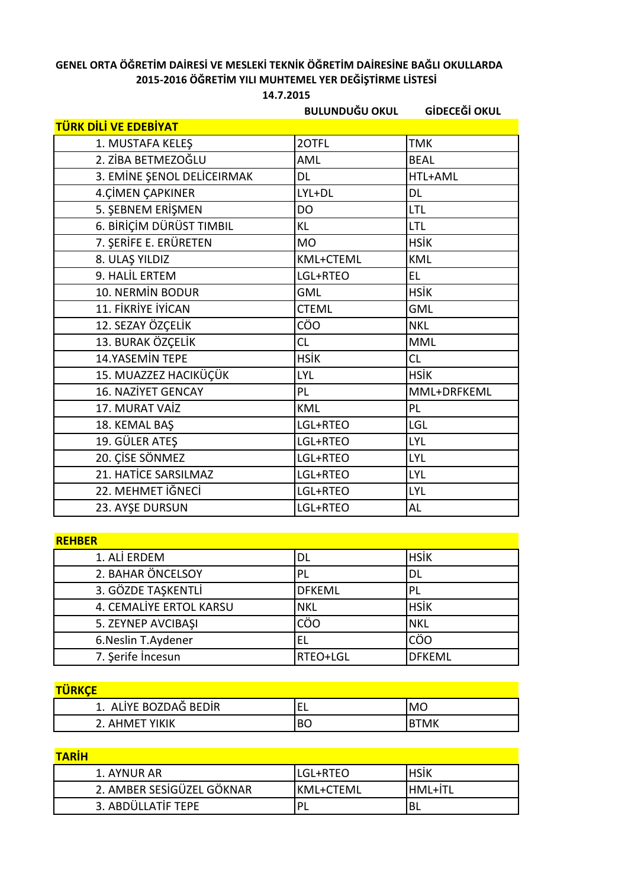## **GENEL ORTA ÖĞRETİM DAİRESİ VE MESLEKİ TEKNİK ÖĞRETİM DAİRESİNE BAĞLI OKULLARDA 2015-2016 ÖĞRETİM YILI MUHTEMEL YER DEĞİŞTİRME LİSTESİ**

**14.7.2015**

**BULUNDUĞU OKUL GİDECEĞİ OKUL TÜRK DİLİ VE EDEBİYAT** 1. MUSTAFA KELEŞ 2OTFL TMK 2. ZİBA BETMEZOĞLU AML AML BEAL 3. EMİNE ŞENOL DELİCEIRMAK DL DL HTL+AML 4.CİMEN ÇAPKINER  $|LYL+DL$  DL 5. SEBNEM ERİŞMEN DO LTL 6. BİRİÇİM DÜRÜST TIMBIL KL KL KL LITL 7. ŞERİFE E. ERÜRETEN MO HSİK 8. ULAŞ YILDIZ KML KML+CTEML KML 9. HALİL ERTEM  $\vert$ LGL+RTEO  $\vert$ EL 10. NERMİN BODUR GML GML HSİK 11. FİKRİYE İYİCAN CTEML CTEML GML 12. SEZAY ÖZÇELİK **CÜL CÜLLEY** CÖO NKL 13. BURAK ÖZÇELİK CL CL MML 14.YASEMİN TEPE | HSİK | CL 15. MUAZZEZ HACIKÜÇÜK LIYL LIZLARIYINI HSİK 16. NAZİYET GENCAY PL PL MML+DRFKEML 17. MURAT VAİZ KML KML PL 18. KEMAL BAS LGL+RTEO LGL LGL 19. GÜLER ATES LGL+RTEO LYL 20. CISE SÖNMEZ LGL+RTEO LYL 21. HATİCE SARSILMAZ | LGL+RTEO | LYL 22. MEHMET İĞNECİ LGL+RTEO LYL 23. AYSE DURSUN LGL+RTEO AL

| . <i>. .</i>            |               |               |
|-------------------------|---------------|---------------|
| 1. ALİ ERDEM            | DL            | <b>HSIK</b>   |
| 2. BAHAR ÖNCELSOY       | PL            | DL            |
| 3. GÖZDE TAŞKENTLİ      | <b>DFKEML</b> | PL            |
| 4. CEMALİYE ERTOL KARSU | <b>NKL</b>    | <b>HSIK</b>   |
| 5. ZEYNEP AVCIBAŞI      | CÖO           | <b>NKL</b>    |
| 6. Neslin T. Aydener    |               | CÖO           |
| 7. Şerife İncesun       | RTEO+LGL      | <b>DFKEML</b> |

| <b>TÜRKCE</b>         |    |             |
|-----------------------|----|-------------|
| 1. ALİYE BOZDAĞ BEDİR | ⊢  | <b>MO</b>   |
| 2. AHMFT YIKIK        | BС | <b>BTMK</b> |

| <b>TARIH</b>              |                  |                |
|---------------------------|------------------|----------------|
| 1. AYNUR AR               | llgl+rteo        | <b>HSIK</b>    |
| 2. AMBER SESİGÜZEL GÖKNAR | <b>KML+CTEML</b> | <b>HML+ITL</b> |
| 3. ABDÜLLATİF TEPE        |                  | BL             |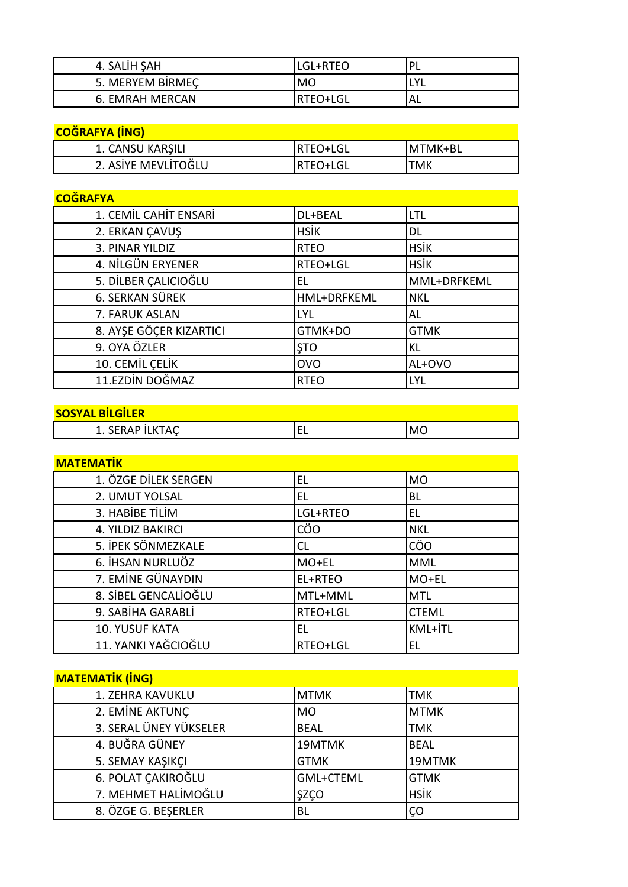| 4. SALIH ŞAH           | LGL+RTEO  | D<br>- |
|------------------------|-----------|--------|
| 5. MERYEM BIRMEC       | МO        | v      |
| <b>6. EMRAH MERCAN</b> | 'RTEO+LGL | AL     |

| <b>COĞRAFYA (İNG)</b> |                  |            |
|-----------------------|------------------|------------|
| 1. CANSU KARŞILI      | <b>IRTEO+LGL</b> | IMTMK+BL   |
| 2. ASİYE MEVLİTOĞLU   | <b>IRTEO+LGL</b> | <b>TMK</b> |

# **COĞRAFYA**

| 1. CEMİL CAHİT ENSARİ   | DL+BEAL     | LTL         |
|-------------------------|-------------|-------------|
| 2. ERKAN ÇAVUŞ          | <b>HSİK</b> | DL          |
| 3. PINAR YILDIZ         | <b>RTEO</b> | <b>HSİK</b> |
| 4. NİLGÜN ERYENER       | RTEO+LGL    | <b>HSİK</b> |
| 5. DİLBER ÇALICIOĞLU    | EL          | MML+DRFKEML |
| 6. SERKAN SÜREK         | HML+DRFKEML | <b>NKL</b>  |
| 7. FARUK ASLAN          | LYL         | AL          |
| 8. AYŞE GÖÇER KIZARTICI | GTMK+DO     | <b>GTMK</b> |
| 9. OYA ÖZLER            | <b>STO</b>  | KL          |
| 10. CEMİL ÇELİK         | <b>OVO</b>  | AL+OVO      |
| 11.EZDİN DOĞMAZ         | <b>RTEO</b> | <b>LYL</b>  |

#### **SOSYAL BİLGİLER**

| IVJINL DILVILLII |    |    |
|------------------|----|----|
|                  | -- | MC |
|                  |    |    |

| <b>MATEMATIK</b>      |          |              |
|-----------------------|----------|--------------|
| 1. ÖZGE DİLEK SERGEN  | EL       | <b>MO</b>    |
| 2. UMUT YOLSAL        | EL       | BL           |
| 3. HABİBE TİLİM       | LGL+RTEO | EL           |
| 4. YILDIZ BAKIRCI     | CÖO      | <b>NKL</b>   |
| 5. İPEK SÖNMEZKALE    | CL       | CÖO          |
| 6. İHSAN NURLUÖZ      | MO+EL    | <b>MML</b>   |
| 7. EMİNE GÜNAYDIN     | EL+RTEO  | MO+EL        |
| 8. SİBEL GENCALIOĞLU  | MTL+MML  | <b>MTL</b>   |
| 9. SABİHA GARABLİ     | RTEO+LGL | <b>CTEML</b> |
| <b>10. YUSUF KATA</b> | EL       | KML+İTL      |
| 11. YANKI YAĞCIOĞLU   | RTEO+LGL | EL           |

# **MATEMATİK (İNG)**

| 1. ZEHRA KAVUKLU       | <b>MTMK</b> | <b>TMK</b>  |
|------------------------|-------------|-------------|
| 2. EMİNE AKTUNÇ        | <b>MO</b>   | <b>MTMK</b> |
| 3. SERAL ÜNEY YÜKSELER | <b>BEAL</b> | <b>TMK</b>  |
| 4. BUĞRA GÜNEY         | 19MTMK      | <b>BEAL</b> |
| 5. SEMAY KAŞIKÇI       | <b>GTMK</b> | 19MTMK      |
| 6. POLAT ÇAKIROĞLU     | GML+CTEML   | <b>GTMK</b> |
| 7. MEHMET HALİMOĞLU    | <b>ŞZÇO</b> | <b>HSİK</b> |
| 8. ÖZGE G. BEŞERLER    | <b>BL</b>   | ÇO          |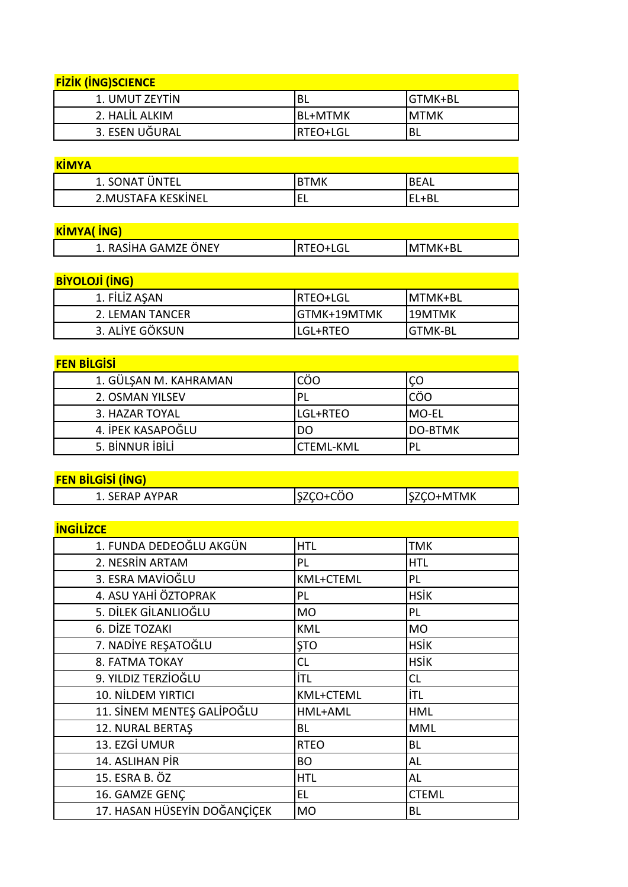| <b>FIZIK (ING)SCIENCE</b> |           |          |
|---------------------------|-----------|----------|
| 1. UMUT ZEYTIN            | 'BL       | IGTMK+BL |
| 2. HALIL ALKIM            | IBL+MTMK  | IMTMK    |
| 3. ESEN UĞURAL            | IRTEO+LGL | 'BL      |

| <b>KIMYA</b>        |    |             |
|---------------------|----|-------------|
| 1. SONAT ÜNTEL      | ™k | <b>BEAL</b> |
| 2. MUSTAFA KESKİNEL | ⊢  | EL+BL       |

| <b>KIMYA(ING)</b>    |                  |                 |
|----------------------|------------------|-----------------|
| 1. RASİHA GAMZE ÖNEY | <b>IRTEO+LGL</b> | <b>IMTMK+BL</b> |

**BİYOLOJİ (İNG)**  1. FİLİZ AŞAN RTEO+LGL MTMK+BL 2. LEMAN TANCER GTMK+19MTMK 19MTMK<br>3. ALIYE GÖKSUN LGL+RTEO GTMK-BL 3. ALİYE GÖKSUN LGL+RTEO

| <b>FEN BILGISI</b>    |           |                |  |
|-----------------------|-----------|----------------|--|
| 1. GÜLŞAN M. KAHRAMAN | CÖO       | ÇO             |  |
| 2. OSMAN YILSEV       |           | CÖO            |  |
| 3. HAZAR TOYAL        | LGL+RTEO  | <b>MO-EL</b>   |  |
| 4. IPEK KASAPOĞLU     | DO        | <b>DO-BTMK</b> |  |
| 5. BİNNUR İBİLİ       | CTEML-KML |                |  |

**FEN BİLGİSİ (İNG)** 1. SERAP AYPAR SZÇO+CÖO SZÇO+MTMK

| <b>INGILIZCE</b>             |                  |              |
|------------------------------|------------------|--------------|
| 1. FUNDA DEDEOĞLU AKGÜN      | <b>HTL</b>       | <b>TMK</b>   |
| 2. NESRÍN ARTAM              | PL               | <b>HTL</b>   |
| 3. ESRA MAVIOĞLU             | KML+CTEML        | PL           |
| 4. ASU YAHİ ÖZTOPRAK         | PL               | <b>HSİK</b>  |
| 5. DİLEK GİLANLIOĞLU         | <b>MO</b>        | PL           |
| 6. DİZE TOZAKI               | <b>KML</b>       | <b>MO</b>    |
| 7. NADİYE REŞATOĞLU          | <b>STO</b>       | <b>HSİK</b>  |
| 8. FATMA TOKAY               | <b>CL</b>        | HSİK         |
| 9. YILDIZ TERZİOĞLU          | İTL              | <b>CL</b>    |
| 10. NİLDEM YIRTICI           | <b>KML+CTEML</b> | İTL          |
| 11. SİNEM MENTEŞ GALİPOĞLU   | HML+AML          | <b>HML</b>   |
| 12. NURAL BERTAŞ             | BL               | <b>MML</b>   |
| 13. EZGİ UMUR                | <b>RTEO</b>      | <b>BL</b>    |
| 14. ASLIHAN PİR              | <b>BO</b>        | AL           |
| 15. ESRA B. ÖZ               | <b>HTL</b>       | AL           |
| 16. GAMZE GENÇ               | EL               | <b>CTEML</b> |
| 17. HASAN HÜSEYİN DOĞANÇİÇEK | <b>MO</b>        | ВL           |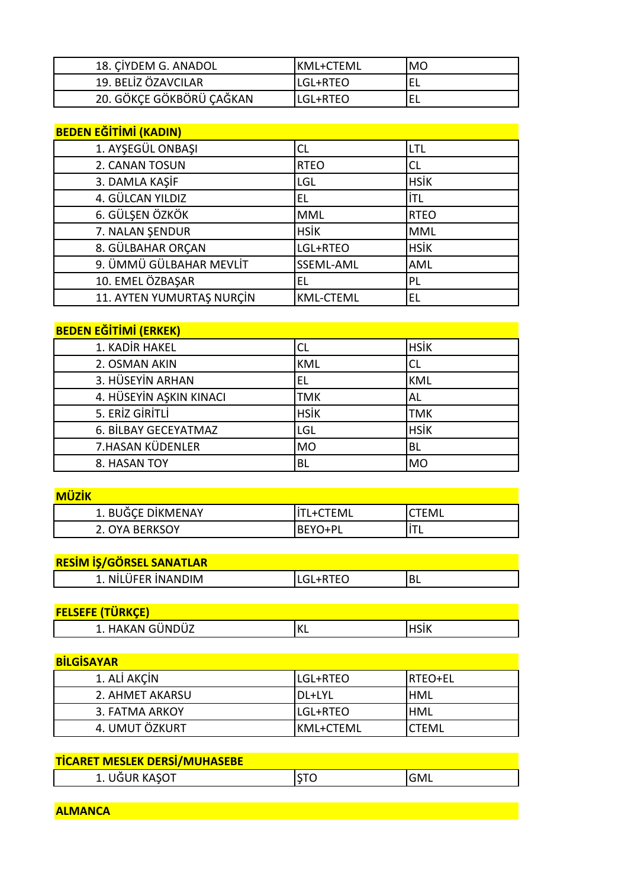| 18. CIYDEM G. ANADOL     | IKML+CTEML | MO |
|--------------------------|------------|----|
| 19. BELİZ ÖZAVCILAR      | LGL+RTEO   |    |
| 20. GÖKÇE GÖKBÖRÜ ÇAĞKAN | LGL+RTEO   |    |

| <b>BEDEN EĞİTİMİ (KADIN)</b> |                  |             |
|------------------------------|------------------|-------------|
| 1. AYŞEGÜL ONBAŞI            | CL               | LTL         |
| 2. CANAN TOSUN               | <b>RTEO</b>      | CL          |
| 3. DAMLA KAŞİF               | LGL              | <b>HSIK</b> |
| 4. GÜLCAN YILDIZ             | EL               | İTL         |
| 6. GÜLŞEN ÖZKÖK              | <b>MML</b>       | <b>RTEO</b> |
| 7. NALAN ŞENDUR              | <b>HSİK</b>      | <b>MML</b>  |
| 8. GÜLBAHAR ORÇAN            | LGL+RTEO         | <b>HSİK</b> |
| 9. ÜMMÜ GÜLBAHAR MEVLİT      | SSEML-AML        | AML         |
| 10. EMEL ÖZBAŞAR             | EL               | PL          |
| 11. AYTEN YUMURTAŞ NURÇİN    | <b>KML-CTEML</b> | EL          |

### **BEDEN EĞİTİMİ (ERKEK)**

| <u>. . _</u>            |             |             |
|-------------------------|-------------|-------------|
| 1. KADİR HAKEL          | CL          | <b>HSİK</b> |
| 2. OSMAN AKIN           | <b>KML</b>  |             |
| 3. HÜSEYİN ARHAN        | EL          | <b>KML</b>  |
| 4. HÜSEYİN AŞKIN KINACI | TMK         | AL          |
| 5. ERİZ GİRİTLİ         | <b>HSİK</b> | <b>TMK</b>  |
| 6. BİLBAY GECEYATMAZ    | LGL         | <b>HSİK</b> |
| 7.HASAN KÜDENLER        | <b>MO</b>   | <b>BL</b>   |
| 8. HASAN TOY            | BL          | <b>MO</b>   |

| <b>MÜZİK</b>      |                  |       |
|-------------------|------------------|-------|
| 1. BUĞÇE DİKMENAY | <b>ITL+CTEML</b> | `TEML |
| 2. OYA BERKSOY    | <b>BEYO+PL</b>   |       |

|  | RESİM İŞ/GÖRSEL SANATLAR |  |
|--|--------------------------|--|
|  |                          |  |
|  |                          |  |
|  |                          |  |

| <u>RESHIT IS/ SONSEE SAINATEAIR</u> |  |
|-------------------------------------|--|
| NILUFFR INANDIM                     |  |
|                                     |  |

| <b>FELSEFE (TÜRKÇE)</b> |     |  |
|-------------------------|-----|--|
| L. HAKAN GÜNDÜZ         | ⊐יו |  |

| <b>BİLGİSAYAR</b> |                 |                 |
|-------------------|-----------------|-----------------|
| 1. ALI AKCIN      | <b>LGL+RTEO</b> | <b>IRTEO+EL</b> |
| 2. AHMET AKARSU   | IDL+LYL         | <b>HML</b>      |
| 3. FATMA ARKOY    | <b>LGL+RTEO</b> | <b>HML</b>      |
| 4. UMUT ÖZKURT    | IKML+CTEML      | <b>CTEML</b>    |

| <b>TICARET MESLEK DERSI/MUHASEBE</b> |             |  |
|--------------------------------------|-------------|--|
| 1. UĞUR KAŞOT                        | <b>IGML</b> |  |

**ALMANCA**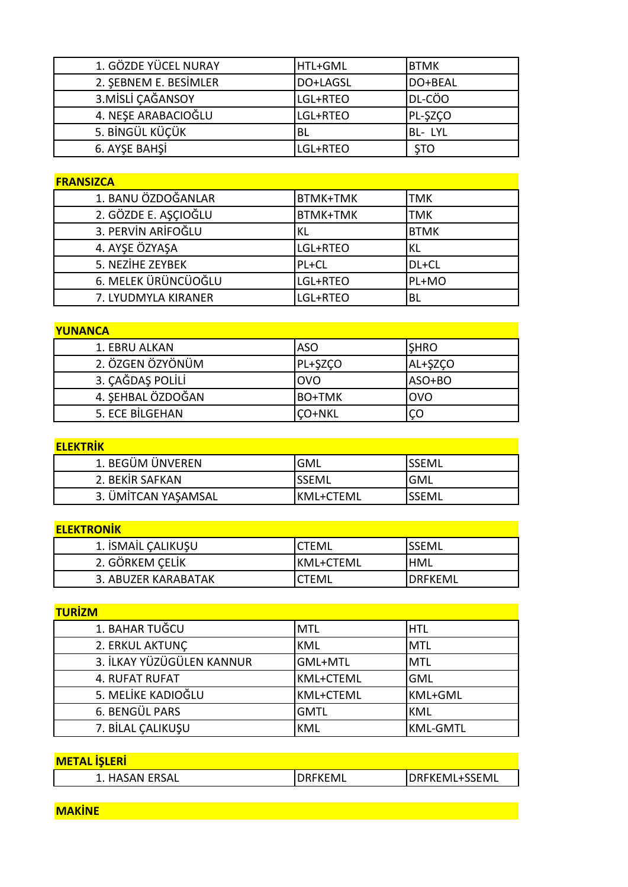| 1. GÖZDE YÜCEL NURAY  | HTL+GML   | <b>BTMK</b> |
|-----------------------|-----------|-------------|
| 2. SEBNEM E. BESİMLER | DO+LAGSL  | DO+BEAL     |
| 3. MİSLİ ÇAĞANSOY     | LGL+RTEO  | DL-CÖO      |
| 4. NESE ARABACIOĞLU   | LGL+RTEO  | PL-SZCO     |
| 5. BİNGÜL KÜÇÜK       | <b>BL</b> | BL-LYL      |
| 6. AYSE BAHSİ         | LGL+RTEO  | <b>STO</b>  |

#### **FRANSIZCA**

| 1. BANU ÖZDOĞANLAR   | <b>BTMK+TMK</b> | TMK         |
|----------------------|-----------------|-------------|
| 2. GÖZDE E. AŞÇIOĞLU | <b>BTMK+TMK</b> | <b>TMK</b>  |
| 3. PERVIN ARIFOĞLU   | ΚL              | <b>BTMK</b> |
| 4. AYŞE ÖZYAŞA       | LGL+RTEO        | ΚL          |
| 5. NEZİHE ZEYBEK     | PL+CL           | DL+CL       |
| 6. MELEK ÜRÜNCÜOĞLU  | LGL+RTEO        | PL+MO       |
| 7. LYUDMYLA KIRANER  | LGL+RTEO        | BL          |

#### **YUNANCA**

| <u>IUIVAIVUA</u>  |               |             |
|-------------------|---------------|-------------|
| 1. EBRU ALKAN     | <b>ASO</b>    | <b>SHRO</b> |
| 2. ÖZGEN ÖZYÖNÜM  | PL+ŞZÇO       | AL+ŞZÇO     |
| 3. ÇAĞDAŞ POLİLİ  | <b>OVO</b>    | ASO+BO      |
| 4. SEHBAL ÖZDOĞAN | IBO+TMK       | <b>OVO</b>  |
| 5. ECE BILGEHAN   | <b>CO+NKL</b> | ÇΟ          |

# **ELEKTRİK**

| 1. BEGÜM ÜNVEREN    | <b>GML</b> | <b>SSEML</b> |
|---------------------|------------|--------------|
| 2. BEKIR SAFKAN     | SSEML      | <b>GML</b>   |
| 3. ÜMİTCAN YAŞAMSAL | lkml+cteml | <b>SSEML</b> |

### **ELEKTRONİK**

| 1. İSMAİL ÇALIKUŞU  | ^TEML      | <b>SSEML</b>    |
|---------------------|------------|-----------------|
| 2. GÖRKEM ÇELİK     | IKML+CTEML | <b>HML</b>      |
| 3. ABUZER KARABATAK | TEML.      | <b>IDRFKFML</b> |

| <b>TURIZM</b>             |                  |                 |
|---------------------------|------------------|-----------------|
| 1. BAHAR TUĞCU            | <b>MTL</b>       | <b>HTL</b>      |
| 2. ERKUL AKTUNÇ           | <b>KML</b>       | <b>MTL</b>      |
| 3. İLKAY YÜZÜGÜLEN KANNUR | GML+MTL          | MTL             |
| 4. RUFAT RUFAT            | <b>KML+CTEML</b> | <b>GML</b>      |
| 5. MELIKE KADIOĞLU        | <b>KML+CTEML</b> | KML+GML         |
| 6. BENGÜL PARS            | <b>GMTL</b>      | <b>KML</b>      |
| 7. BİLAL ÇALIKUŞU         | <b>KML</b>       | <b>KML-GMTL</b> |

| <b>METAL ISLERI</b> |                |                       |
|---------------------|----------------|-----------------------|
| 1. HASAN ERSAL      | <b>DRFKEML</b> | <b>IDRFKEML+SSEML</b> |
|                     |                |                       |

**MAKİNE**